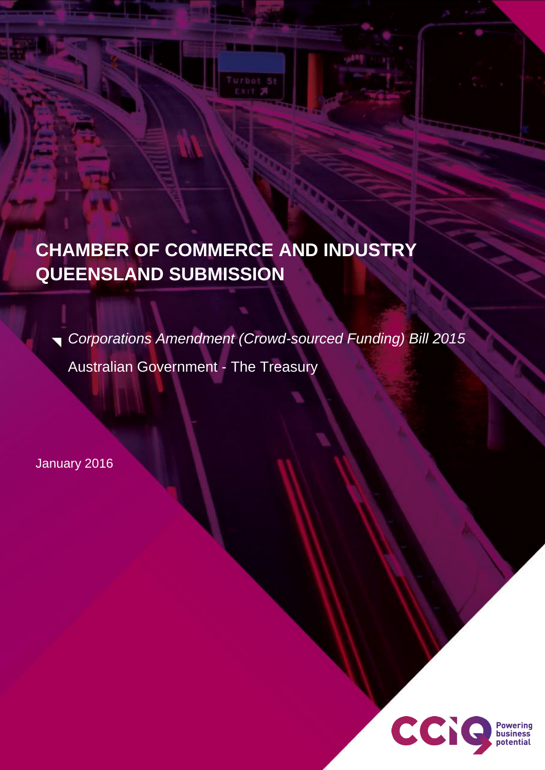# **CHAMBER OF COMMERCE AND INDUSTRY QUEENSLAND SUBMISSION**

*Corporations Amendment (Crowd-sourced Funding) Bill 2015* Australian Government - The Treasury

**STATISTICS** 

January 2016

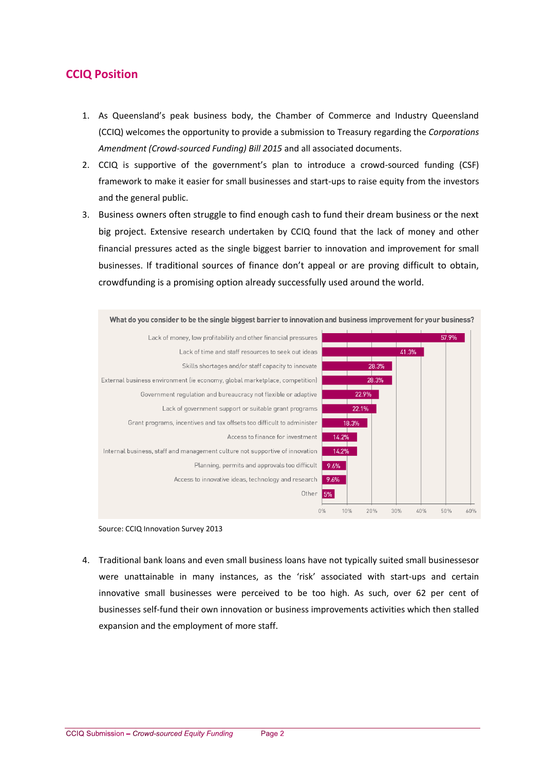## **CCIQ Position**

- 1. As Queensland's peak business body, the Chamber of Commerce and Industry Queensland (CCIQ) welcomes the opportunity to provide a submission to Treasury regarding the *Corporations Amendment (Crowd-sourced Funding) Bill 2015* and all associated documents.
- 2. CCIQ is supportive of the government's plan to introduce a crowd-sourced funding (CSF) framework to make it easier for small businesses and start-ups to raise equity from the investors and the general public.
- 3. Business owners often struggle to find enough cash to fund their dream business or the next big project. Extensive research undertaken by CCIQ found that the lack of money and other financial pressures acted as the single biggest barrier to innovation and improvement for small businesses. If traditional sources of finance don't appeal or are proving difficult to obtain, crowdfunding is a promising option already successfully used around the world.



Source: CCIQ Innovation Survey 2013

4. Traditional bank loans and even small business loans have not typically suited small businessesor were unattainable in many instances, as the 'risk' associated with start-ups and certain innovative small businesses were perceived to be too high. As such, over 62 per cent of businesses self-fund their own innovation or business improvements activities which then stalled expansion and the employment of more staff.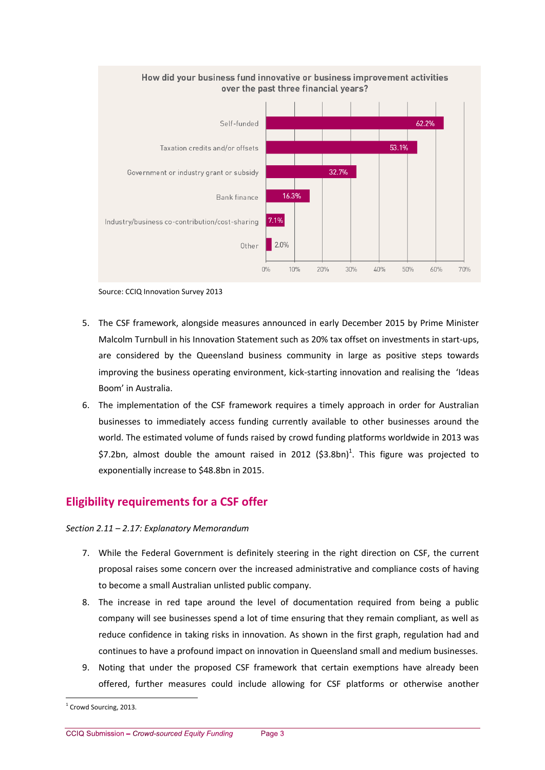

Source: CCIQ Innovation Survey 2013

- 5. The CSF framework, alongside measures announced in early December 2015 by Prime Minister Malcolm Turnbull in his Innovation Statement such as 20% tax offset on investments in start-ups, are considered by the Queensland business community in large as positive steps towards improving the business operating environment, kick-starting innovation and realising the 'Ideas Boom' in Australia.
- 6. The implementation of the CSF framework requires a timely approach in order for Australian businesses to immediately access funding currently available to other businesses around the world. The estimated volume of funds raised by crowd funding platforms worldwide in 2013 was \$7.2bn, almost double the amount raised in 2012 (\$3.8bn)<sup>1</sup>. This figure was projected to exponentially increase to \$48.8bn in 2015.

## **Eligibility requirements for a CSF offer**

#### *Section 2.11 – 2.17: Explanatory Memorandum*

- 7. While the Federal Government is definitely steering in the right direction on CSF, the current proposal raises some concern over the increased administrative and compliance costs of having to become a small Australian unlisted public company.
- 8. The increase in red tape around the level of documentation required from being a public company will see businesses spend a lot of time ensuring that they remain compliant, as well as reduce confidence in taking risks in innovation. As shown in the first graph, regulation had and continues to have a profound impact on innovation in Queensland small and medium businesses.
- 9. Noting that under the proposed CSF framework that certain exemptions have already been offered, further measures could include allowing for CSF platforms or otherwise another

1

<sup>&</sup>lt;sup>1</sup> Crowd Sourcing, 2013.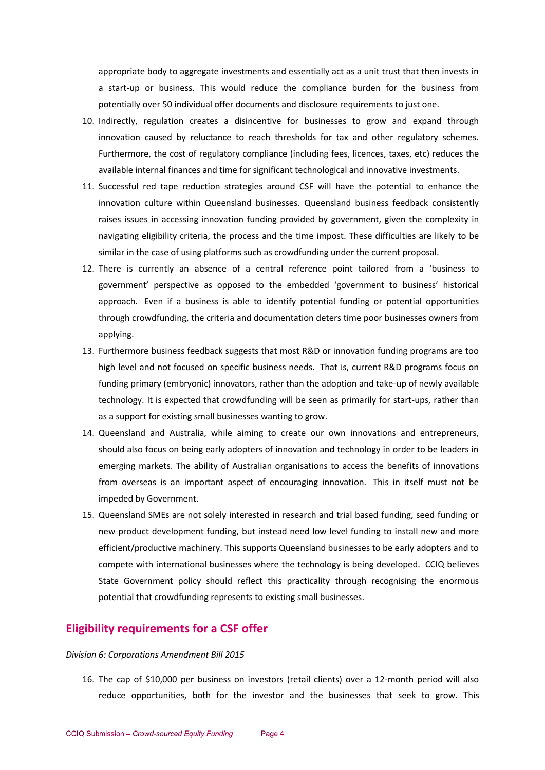appropriate body to aggregate investments and essentially act as a unit trust that then invests in a start-up or business. This would reduce the compliance burden for the business from potentially over 50 individual offer documents and disclosure requirements to just one.

- 10. Indirectly, regulation creates a disincentive for businesses to grow and expand through innovation caused by reluctance to reach thresholds for tax and other regulatory schemes. Furthermore, the cost of regulatory compliance (including fees, licences, taxes, etc) reduces the available internal finances and time for significant technological and innovative investments.
- 11. Successful red tape reduction strategies around CSF will have the potential to enhance the innovation culture within Queensland businesses. Queensland business feedback consistently raises issues in accessing innovation funding provided by government, given the complexity in navigating eligibility criteria, the process and the time impost. These difficulties are likely to be similar in the case of using platforms such as crowdfunding under the current proposal.
- 12. There is currently an absence of a central reference point tailored from a 'business to government' perspective as opposed to the embedded 'government to business' historical approach. Even if a business is able to identify potential funding or potential opportunities through crowdfunding, the criteria and documentation deters time poor businesses owners from applying.
- 13. Furthermore business feedback suggests that most R&D or innovation funding programs are too high level and not focused on specific business needs. That is, current R&D programs focus on funding primary (embryonic) innovators, rather than the adoption and take-up of newly available technology. It is expected that crowdfunding will be seen as primarily for start-ups, rather than as a support for existing small businesses wanting to grow.
- 14. Queensland and Australia, while aiming to create our own innovations and entrepreneurs, should also focus on being early adopters of innovation and technology in order to be leaders in emerging markets. The ability of Australian organisations to access the benefits of innovations from overseas is an important aspect of encouraging innovation. This in itself must not be impeded by Government.
- 15. Queensland SMEs are not solely interested in research and trial based funding, seed funding or new product development funding, but instead need low level funding to install new and more efficient/productive machinery. This supports Queensland businesses to be early adopters and to compete with international businesses where the technology is being developed. CCIQ believes State Government policy should reflect this practicality through recognising the enormous potential that crowdfunding represents to existing small businesses.

### **Eligibility requirements for a CSF offer**

#### *Division 6: Corporations Amendment Bill 2015*

16. The cap of \$10,000 per business on investors (retail clients) over a 12-month period will also reduce opportunities, both for the investor and the businesses that seek to grow. This